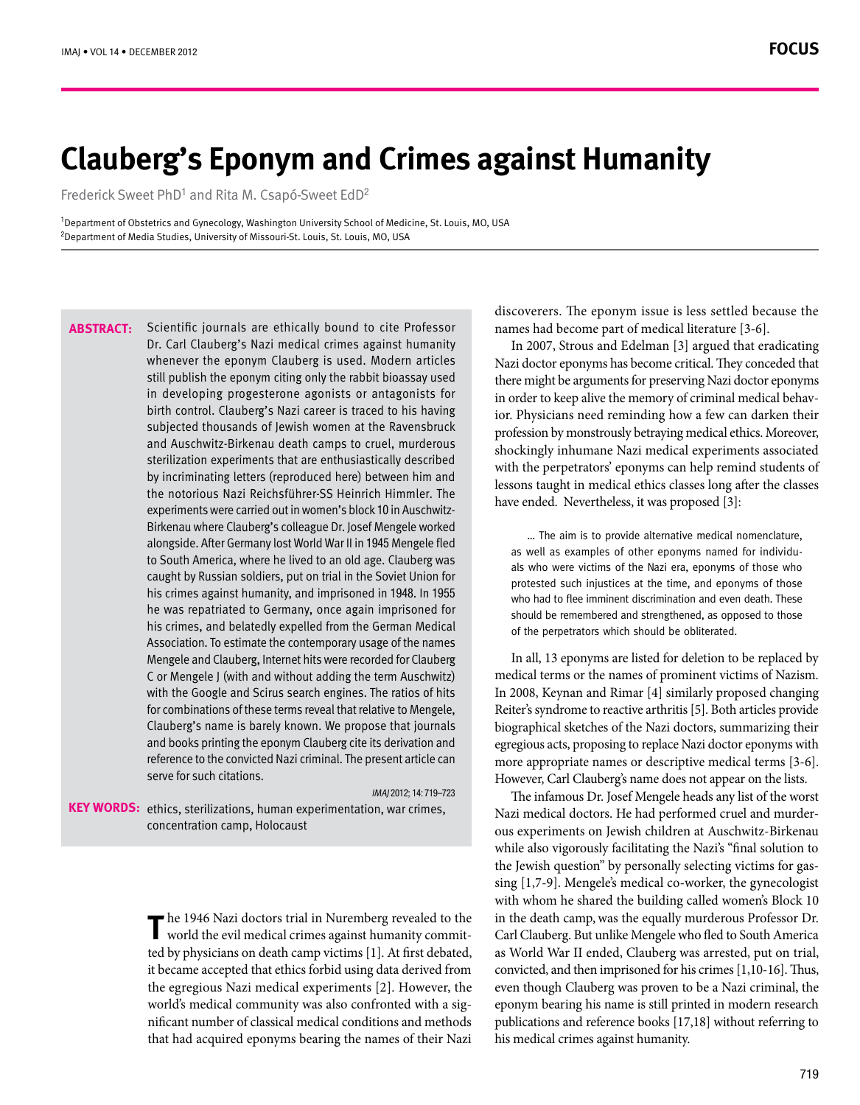# **Clauberg's Eponym and Crimes against Humanity**

Frederick Sweet PhD<sup>1</sup> and Rita M. Csapó-Sweet EdD<sup>2</sup>

<sup>1</sup>Department of Obstetrics and Gynecology, Washington University School of Medicine, St. Louis, MO, USA <sup>2</sup>Department of Media Studies, University of Missouri-St. Louis, St. Louis, MO, USA

Scientific journals are ethically bound to cite Professor Dr. Carl Clauberg's Nazi medical crimes against humanity whenever the eponym Clauberg is used. Modern articles still publish the eponym citing only the rabbit bioassay used in developing progesterone agonists or antagonists for birth control. Clauberg's Nazi career is traced to his having subiected thousands of lewish women at the Ravensbruck and Auschwitz-Birkenau death camps to cruel, murderous sterilization experiments that are enthusiastically described by incriminating letters (reproduced here) between him and the notorious Nazi Reichsführer-SS Heinrich Himmler. The Birkenau where Clauberg's colleague Dr. Josef Mengele worked experiments were carried out in women's block 10 in Auschwitzalongside. After Germany lost World War II in 1945 Mengele fled to South America, where he lived to an old age. Clauberg was caught by Russian soldiers, put on trial in the Soviet Union for his crimes against humanity, and imprisoned in 1948. In 1955 he was repatriated to Germany, once again imprisoned for his crimes, and belatedly expelled from the German Medical Association. To estimate the contemporary usage of the names Mengele and Clauberg, Internet hits were recorded for Clauberg C or Mengele J (with and without adding the term Auschwitz) with the Google and Scirus search engines. The ratios of hits for combinations of these terms reveal that relative to Mengele, Clauberg's name is barely known. We propose that journals and books printing the eponym Clauberg cite its derivation and reference to the convicted Nazi criminal. The present article can serve for such citations. **:Abstract**

IMAI 2012: 14: 719-723

KEY WORDS: ethics, sterilizations, human experimentation, war crimes, concentration camp, Holocaust

> The 1946 Nazi doctors trial in Nuremberg revealed to the world the evil medical crimes against humanity commit- $\blacksquare$  world the evil medical crimes against humanity committed by physicians on death camp victims [1]. At first debated, it became accepted that ethics forbid using data derived from the egregious Nazi medical experiments [2]. However, the nificant number of classical medical conditions and methods world's medical community was also confronted with a sigthat had acquired eponyms bearing the names of their Nazi

discoverers. The eponym issue is less settled because the names had become part of medical literature [3-6].

In 2007, Strous and Edelman [3] argued that eradicating Nazi doctor eponyms has become critical. They conceded that there might be arguments for preserving Nazi doctor eponyms ior. Physicians need reminding how a few can darken their in order to keep alive the memory of criminal medical behavprofession by monstrously betraying medical ethics. Moreover, shockingly inhumane Nazi medical experiments associated with the perpetrators' eponyms can help remind students of lessons taught in medical ethics classes long after the classes have ended. Nevertheless, it was proposed [3]:

... The aim is to provide alternative medical nomenclature, als who were victims of the Nazi era, eponyms of those who as well as examples of other eponyms named for individuprotested such injustices at the time, and eponyms of those who had to flee imminent discrimination and even death. These should be remembered and strengthened, as opposed to those of the perpetrators which should be obliterated.

In all, 13 eponyms are listed for deletion to be replaced by medical terms or the names of prominent victims of Nazism. In 2008, Keynan and Rimar [4] similarly proposed changing Reiter's syndrome to reactive arthritis [5]. Both articles provide biographical sketches of the Nazi doctors, summarizing their egregious acts, proposing to replace Nazi doctor eponyms with more appropriate names or descriptive medical terms [3-6]. However, Carl Clauberg's name does not appear on the lists.

The infamous Dr. Josef Mengele heads any list of the worst ous experiments on Jewish children at Auschwitz-Birkenau Nazi medical doctors. He had performed cruel and murderwhile also vigorously facilitating the Nazi's "final solution to sing  $[1,7-9]$ . Mengele's medical co-worker, the gynecologist the Jewish question" by personally selecting victims for gaswith whom he shared the building called women's Block 10 in the death camp, was the equally murderous Professor Dr. Carl Clauberg. But unlike Mengele who fled to South America as World War II ended, Clauberg was arrested, put on trial, convicted, and then imprisoned for his crimes  $[1,10-16]$ . Thus, even though Clauberg was proven to be a Nazi criminal, the eponym bearing his name is still printed in modern research publications and reference books [17,18] without referring to his medical crimes against humanity.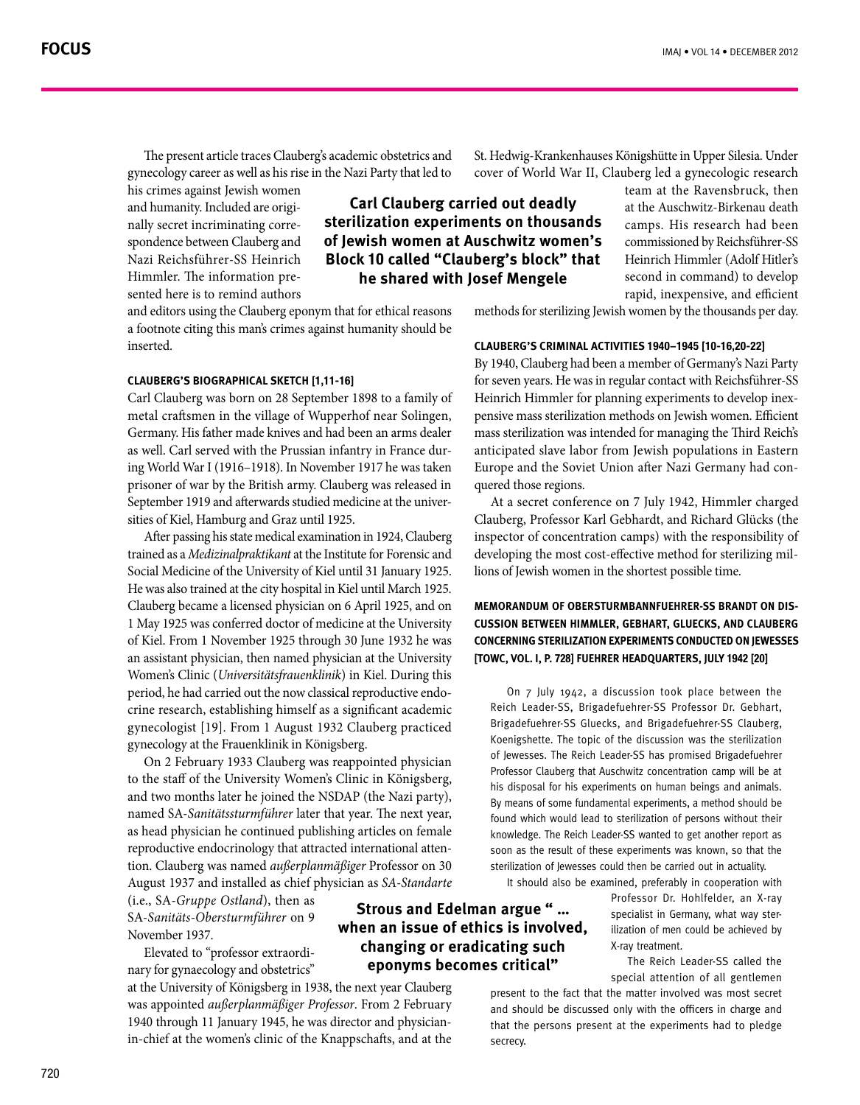The present article traces Clauberg's academic obstetrics and gynecology career as well as his rise in the Nazi Party that led to

his crimes against Jewish women spondence between Clauberg and nally secret incriminating correand humanity. Included are origi-Nazi Reichsführer-SS Heinrich sented here is to remind authors Himmler. The information pre-

and editors using the Clauberg eponym that for ethical reasons a footnote citing this man's crimes against humanity should be .inserted

# **CLAUBERG'S BIOGRAPHICAL SKETCH [1,11-16]**

Carl Clauberg was born on 28 September 1898 to a family of metal craftsmen in the village of Wupperhof near Solingen, Germany. His father made knives and had been an arms dealer ing World War I (1916–1918). In November 1917 he was taken as well. Carl served with the Prussian infantry in France durprisoner of war by the British army. Clauberg was released in September 1919 and afterwards studied medicine at the univer-<br>sities of Kiel, Hamburg and Graz until 1925.

After passing his state medical examination in 1924, Clauberg trained as a *Medizinalpraktikant* at the Institute for Forensic and Social Medicine of the University of Kiel until 31 January 1925. He was also trained at the city hospital in Kiel until March 1925. Clauberg became a licensed physician on 6 April 1925, and on 1 May 1925 was conferred doctor of medicine at the University of Kiel. From 1 November 1925 through 30 June 1932 he was an assistant physician, then named physician at the University Women's Clinic (Universitätsfrauenklinik) in Kiel. During this crine research, establishing himself as a significant academic period, he had carried out the now classical reproductive endogynecologist [19]. From 1 August 1932 Clauberg practiced gynecology at the Frauenklinik in Königsberg.

On 2 February 1933 Clauberg was reappointed physician to the staff of the University Women's Clinic in Königsberg, and two months later he joined the NSDAP (the Nazi party), named SA-Sanitätssturmführer later that year. The next year, as head physician he continued publishing articles on female tion. Clauberg was named außerplanmäßiger Professor on 30 reproductive endocrinology that attracted international atten-August 1937 and installed as chief physician as SA-Standarte

(i.e., SA-Gruppe Ostland), then as 9 on *Obersturmführer-Sanitäts*-SA 1937. November

nary for gynaecology and obstetrics" Elevated to "professor extraordi-

at the University of Königsberg in 1938, the next year Clauberg was appointed *außerplanmäßiger Professor*. From 2 February in-chief at the women's clinic of the Knappschafts, and at the 1940 through 11 January 1945, he was director and physician-

**Carl Clauberg carried out deadly sterilization experiments on thousands** of lewish women at Auschwitz women's **Block 10 called "Clauberg's block" that he shared with Josef Mengele** 

St. Hedwig-Krankenhauses Königshütte in Upper Silesia. Under cover of World War II, Clauberg led a gynecologic research

team at the Ravensbruck, then at the Auschwitz-Birkenau death camps. His research had been commissioned by Reichsführer-SS Heinrich Himmler (Adolf Hitler's second in command) to develop rapid, inexpensive, and efficient

methods for sterilizing Jewish women by the thousands per day.

#### **[10-16,20-22] 1945–1940 activities criminal s'Clauberg**

By 1940, Clauberg had been a member of Germany's Nazi Party for seven years. He was in regular contact with Reichsführer-SS pensive mass sterilization methods on Jewish women. Efficient Heinrich Himmler for planning experiments to develop inexmass sterilization was intended for managing the Third Reich's anticipated slave labor from Jewish populations in Eastern Europe and the Soviet Union after Nazi Germany had con-<br>quered those regions.

At a secret conference on 7 July 1942, Himmler charged Clauberg, Professor Karl Gebhardt, and Richard Glücks (the inspector of concentration camps) with the responsibility of developing the most cost-effective method for sterilizing millions of Jewish women in the shortest possible time.

# **CUSSION BETWEEN HIMMLER, GEBHART, GLUECKS, AND CLAUBERG MEMORANDUM OF OBERSTURMBANNFUEHRER-SS BRANDT ON DIS-CONCERNING STERILIZATION EXPERIMENTS CONDUCTED ON JEWESSES [TOWC, VOL. 1, P. 728] FUEHRER HEADQUARTERS, JULY 1942 [20]**

On  $7$  July 1942, a discussion took place between the Reich Leader-SS, Brigadefuehrer-SS Professor Dr. Gebhart, Brigadefuehrer-SS Gluecks, and Brigadefuehrer-SS Clauberg, Koenigshette. The topic of the discussion was the sterilization of Jewesses. The Reich Leader-SS has promised Brigadefuehrer Professor Clauberg that Auschwitz concentration camp will be at his disposal for his experiments on human beings and animals. By means of some fundamental experiments, a method should be found which would lead to sterilization of persons without their knowledge. The Reich Leader-SS wanted to get another report as soon as the result of these experiments was known, so that the sterilization of lewesses could then be carried out in actuality.

It should also be examined, preferably in cooperation with

**Strous and Edelman argue " ...** when an issue of ethics is involved. **changing or eradicating such** eponyms becomes critical"

Professor Dr. Hohlfelder, an X-ray ilization of men could be achieved by specialist in Germany, what way ster-X-ray treatment.

The Reich Leader-SS called the special attention of all gentlemen

present to the fact that the matter involved was most secret and should be discussed only with the officers in charge and that the persons present at the experiments had to pledge secrecy.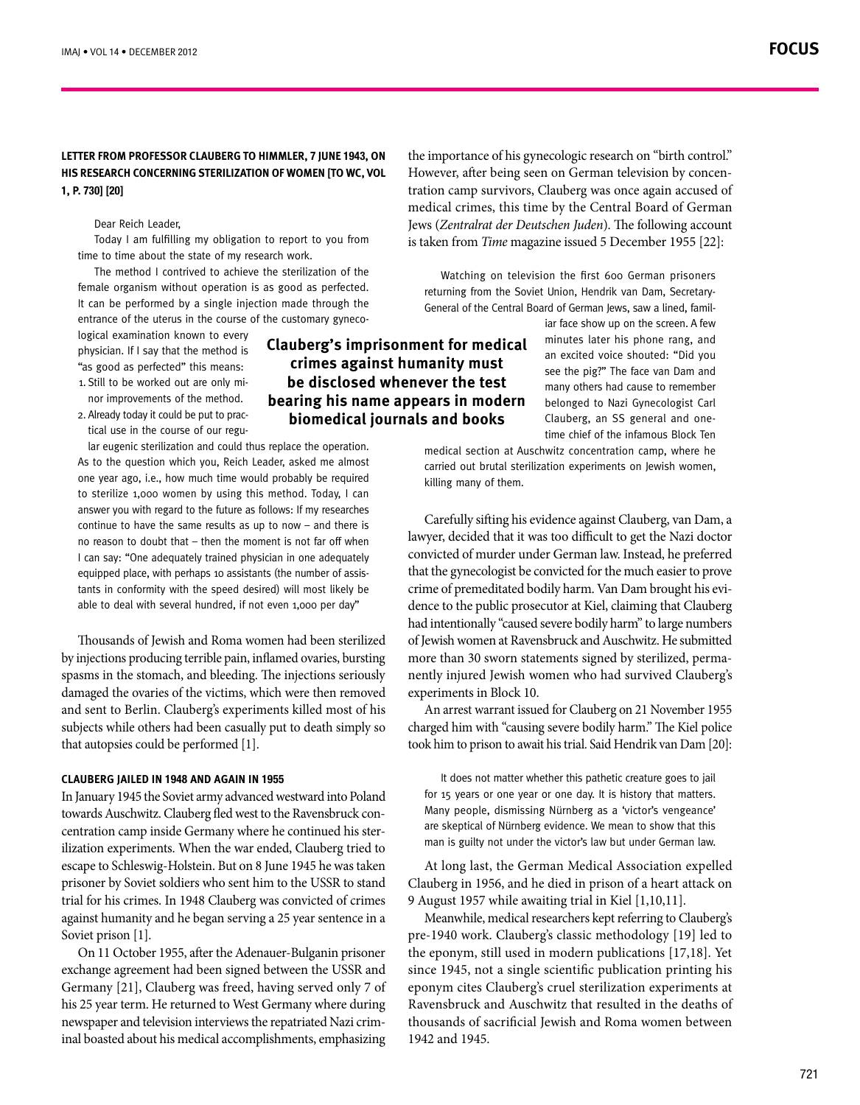# **LETTER FROM PROFESSOR CLAUBERG TO HIMMLER, 7 JUNE 1943, ON HIS RESEARCH CONCERNING STERILIZATION OF WOMEN [TO WC, VOL [20] [730 .p 1,**

Dear Reich Leader.

Today I am fulfilling my obligation to report to you from time to time about the state of my research work.

The method I contrived to achieve the sterilization of the female organism without operation is as good as perfected. It can be performed by a single injection made through the entrance of the uterus in the course of the customary gyneco-<br>logical-examination known to every

physician. If I say that the method is "as good as perfected" this means: nor improvements of the method. 1. Still to be worked out are only mi-

tical use in the course of our regu-2. Already today it could be put to prac-

lar eugenic sterilization and could thus replace the operation. As to the question which you, Reich Leader, asked me almost one year ago, i.e., how much time would probably be required to sterilize 1,000 women by using this method. Today, I can answer you with regard to the future as follows: If my researches continue to have the same results as up to now  $-$  and there is no reason to doubt that – then the moment is not far off when I can say: "One adequately trained physician in one adequately tants in conformity with the speed desired) will most likely be equipped place, with perhaps 10 assistants (the number of assisable to deal with several hundred, if not even 1,000 per day"

Thousands of Jewish and Roma women had been sterilized by injections producing terrible pain, inflamed ovaries, bursting spasms in the stomach, and bleeding. The injections seriously damaged the ovaries of the victims, which were then removed and sent to Berlin. Clauberg's experiments killed most of his subjects while others had been casually put to death simply so that autopsies could be performed  $[1]$ .

#### **CLAUBERG JAILED IN 1948 AND AGAIN IN 1955**

In January 1945 the Soviet army advanced westward into Poland ilization experiments. When the war ended, Clauberg tried to centration camp inside Germany where he continued his stertowards Auschwitz. Clauberg fled west to the Ravensbruck conescape to Schleswig-Holstein. But on 8 June 1945 he was taken prisoner by Soviet soldiers who sent him to the USSR to stand trial for his crimes. In 1948 Clauberg was convicted of crimes against humanity and he began serving a 25 year sentence in a Soviet prison [1].

On 11 October 1955, after the Adenauer-Bulganin prisoner exchange agreement had been signed between the USSR and Germany [21], Clauberg was freed, having served only 7 of his 25 year term. He returned to West Germany where during inal boasted about his medical accomplishments, emphasizing newspaper and television interviews the repatriated Nazi crim-

# **Clauberg's imprisonment for medical crimes against humanity must be disclosed whenever the test bearing his name appears in modern biomedical journals and books**

tration camp survivors, Clauberg was once again accused of medical crimes, this time by the Central Board of German Jews (Zentralrat der Deutschen Juden). The following account is taken from *Time* magazine issued 5 December 1955 [22]: Watching on television the first 600 German prisoners

General of the Central Board of German Jews, saw a lined, familreturning from the Soviet Union, Hendrik van Dam, Secretary-

the importance of his gynecologic research on "birth control."

However, after being seen on German television by concen-

iar face show up on the screen. A few minutes later his phone rang, and an excited voice shouted: "Did you see the pig?" The face van Dam and many others had cause to remember belonged to Nazi Gynecologist Carl time chief of the infamous Block Ten Clauberg, an SS general and one-

medical section at Auschwitz concentration camp, where he carried out brutal sterilization experiments on Jewish women, killing many of them.

Carefully sifting his evidence against Clauberg, van Dam, a lawyer, decided that it was too difficult to get the Nazi doctor convicted of murder under German law. Instead, he preferred that the gynecologist be convicted for the much easier to prove dence to the public prosecutor at Kiel, claiming that Clauberg crime of premeditated bodily harm. Van Dam brought his evihad intentionally "caused severe bodily harm" to large numbers of Jewish women at Ravensbruck and Auschwitz. He submitted nently injured Jewish women who had survived Clauberg's more than 30 sworn statements signed by sterilized, permaexperiments in Block 10.

An arrest warrant issued for Clauberg on 21 November 1955 charged him with "causing severe bodily harm." The Kiel police took him to prison to await his trial. Said Hendrik van Dam [20]:

It does not matter whether this pathetic creature goes to jail for 15 years or one year or one day. It is history that matters. Many people, dismissing Nürnberg as a 'victor's vengeance' are skeptical of Nürnberg evidence. We mean to show that this man is guilty not under the victor's law but under German law.

At long last, the German Medical Association expelled Clauberg in 1956, and he died in prison of a heart attack on 9 August 1957 while awaiting trial in Kiel  $[1,10,11]$ .

Meanwhile, medical researchers kept referring to Clauberg's pre-1940 work. Clauberg's classic methodology [19] led to the eponym, still used in modern publications [17,18]. Yet since 1945, not a single scientific publication printing his eponym cites Clauberg's cruel sterilization experiments at Ravensbruck and Auschwitz that resulted in the deaths of thousands of sacrificial Jewish and Roma women between 1942 and 1945.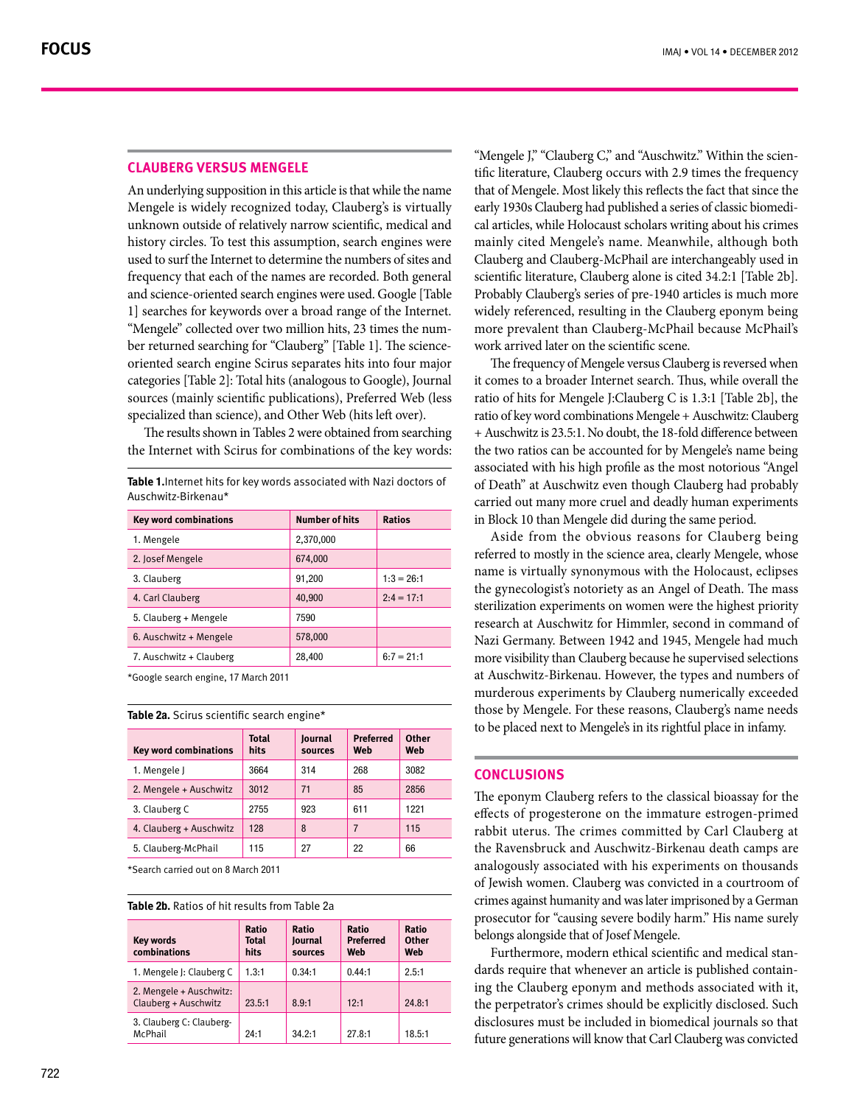## **CLAUBERG VERSUS MENGELE**

An underlying supposition in this article is that while the name Mengele is widely recognized today, Clauberg's is virtually unknown outside of relatively narrow scientific, medical and history circles. To test this assumption, search engines were used to surf the Internet to determine the numbers of sites and frequency that each of the names are recorded. Both general and science-oriented search engines were used. Google [Table 1] searches for keywords over a broad range of the Internet. oriented search engine Scirus separates hits into four major ber returned searching for "Clauberg" [Table 1]. The science-"Mengele" collected over two million hits, 23 times the numcategories [Table 2]: Total hits (analogous to Google), Journal sources (mainly scientific publications), Preferred Web (less specialized than science), and Other Web (hits left over).

The results shown in Tables 2 were obtained from searching the Internet with Scirus for combinations of the key words:

Table 1. Internet hits for key words associated with Nazi doctors of Auschwitz-Birkenau\*

| <b>Key word combinations</b> | <b>Number of hits</b> | <b>Ratios</b> |
|------------------------------|-----------------------|---------------|
| 1. Mengele                   | 2,370,000             |               |
| 2. Josef Mengele             | 674,000               |               |
| 3. Clauberg                  | 91,200                | $1:3 = 26:1$  |
| 4. Carl Clauberg             | 40,900                | $2:4 = 17:1$  |
| 5. Clauberg + Mengele        | 7590                  |               |
| 6. Auschwitz + Mengele       | 578,000               |               |
| 7. Auschwitz + Clauberg      | 28,400                | $6:7 = 21:1$  |
|                              |                       |               |

\*Google search engine, 17 March 2011

#### Table 2a. Scirus scientific search engine\*

| <b>Key word combinations</b> | <b>Total</b><br>hits | Journal<br>sources | <b>Preferred</b><br>Web | <b>Other</b><br>Web |
|------------------------------|----------------------|--------------------|-------------------------|---------------------|
| 1. Mengele J                 | 3664                 | 314                | 268                     | 3082                |
| 2. Mengele + Auschwitz       | 3012                 | 71                 | 85                      | 2856                |
| 3. Clauberg C                | 2755                 | 923                | 611                     | 1221                |
| 4. Clauberg + Auschwitz      | 128                  | 8                  |                         | 115                 |
| 5. Clauberg-McPhail          | 115                  | 27                 | 22                      | 66                  |
|                              |                      |                    |                         |                     |

\*Search carried out on 8 March 2011

#### Table 2b. Ratios of hit results from Table 2a

| <b>Key words</b><br>combinations                | Ratio<br><b>Total</b><br>hits | Ratio<br><b>lournal</b><br>sources | Ratio<br><b>Preferred</b><br>Web | Ratio<br>Other<br>Web |
|-------------------------------------------------|-------------------------------|------------------------------------|----------------------------------|-----------------------|
| 1. Mengele J: Clauberg C                        | 1.3:1                         | 0.34:1                             | 0.44:1                           | 2.5:1                 |
| 2. Mengele + Auschwitz:<br>Clauberg + Auschwitz | 23.5:1                        | 8.9:1                              | 12:1                             | 24.8:1                |
| 3. Clauberg C: Clauberg-<br>McPhail             | 24:1                          | 34.2:1                             | 27.8:1                           | 18.5:1                |

tific literature, Clauberg occurs with 2.9 times the frequency "Mengele J," "Clauberg C," and "Auschwitz." Within the scienthat of Mengele. Most likely this reflects the fact that since the cal articles, while Holocaust scholars writing about his crimes early 1930s Clauberg had published a series of classic biomedimainly cited Mengele's name. Meanwhile, although both Clauberg and Clauberg-McPhail are interchangeably used in scientific literature, Clauberg alone is cited 34.2:1 [Table 2b]. Probably Clauberg's series of pre-1940 articles is much more widely referenced, resulting in the Clauberg eponym being more prevalent than Clauberg-McPhail because McPhail's work arrived later on the scientific scene.

The frequency of Mengele versus Clauberg is reversed when it comes to a broader Internet search. Thus, while overall the ratio of hits for Mengele J:Clauberg C is 1.3:1 [Table 2b], the ratio of key word combinations Mengele + Auschwitz: Clauberg + Auschwitz is 23.5:1. No doubt, the 18-fold difference between the two ratios can be accounted for by Mengele's name being associated with his high profile as the most notorious "Angel of Death" at Auschwitz even though Clauberg had probably carried out many more cruel and deadly human experiments in Block 10 than Mengele did during the same period.

Aside from the obvious reasons for Clauberg being referred to mostly in the science area, clearly Mengele, whose name is virtually synonymous with the Holocaust, eclipses the gynecologist's notoriety as an Angel of Death. The mass sterilization experiments on women were the highest priority research at Auschwitz for Himmler, second in command of Nazi Germany. Between 1942 and 1945, Mengele had much more visibility than Clauberg because he supervised selections at Auschwitz-Birkenau. However, the types and numbers of murderous experiments by Clauberg numerically exceeded those by Mengele. For these reasons, Clauberg's name needs to be placed next to Mengele's in its rightful place in infamy.

### **Conclusions**

The eponym Clauberg refers to the classical bioassay for the effects of progesterone on the immature estrogen-primed rabbit uterus. The crimes committed by Carl Clauberg at the Ravensbruck and Auschwitz-Birkenau death camps are analogously associated with his experiments on thousands of Jewish women. Clauberg was convicted in a courtroom of crimes against humanity and was later imprisoned by a German prosecutor for "causing severe bodily harm." His name surely belongs alongside that of Josef Mengele.

ing the Clauberg eponym and methods associated with it, dards require that whenever an article is published contain-Furthermore, modern ethical scientific and medical stanthe perpetrator's crimes should be explicitly disclosed. Such disclosures must be included in biomedical journals so that future generations will know that Carl Clauberg was convicted